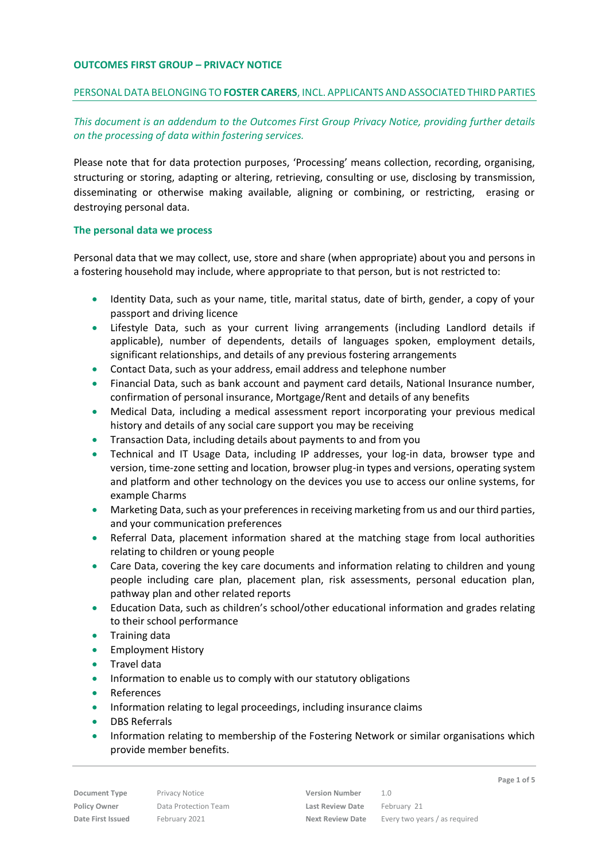#### **OUTCOMES FIRST GROUP – PRIVACY NOTICE**

#### PERSONAL DATA BELONGING TO **FOSTER CARERS**, INCL. APPLICANTS AND ASSOCIATED THIRD PARTIES

*This document is an addendum to the Outcomes First Group Privacy Notice, providing further details on the processing of data within fostering services.*

Please note that for data protection purposes, 'Processing' means collection, recording, organising, structuring or storing, adapting or altering, retrieving, consulting or use, disclosing by transmission, disseminating or otherwise making available, aligning or combining, or restricting, erasing or destroying personal data.

#### **The personal data we process**

Personal data that we may collect, use, store and share (when appropriate) about you and persons in a fostering household may include, where appropriate to that person, but is not restricted to:

- Identity Data, such as your name, title, marital status, date of birth, gender, a copy of your passport and driving licence
- Lifestyle Data, such as your current living arrangements (including Landlord details if applicable), number of dependents, details of languages spoken, employment details, significant relationships, and details of any previous fostering arrangements
- Contact Data, such as your address, email address and telephone number
- Financial Data, such as bank account and payment card details, National Insurance number, confirmation of personal insurance, Mortgage/Rent and details of any benefits
- Medical Data, including a medical assessment report incorporating your previous medical history and details of any social care support you may be receiving
- **•** Transaction Data, including details about payments to and from you
- Technical and IT Usage Data, including IP addresses, your log-in data, browser type and version, time-zone setting and location, browser plug-in types and versions, operating system and platform and other technology on the devices you use to access our online systems, for example Charms
- Marketing Data, such as your preferences in receiving marketing from us and our third parties, and your communication preferences
- Referral Data, placement information shared at the matching stage from local authorities relating to children or young people
- Care Data, covering the key care documents and information relating to children and young people including care plan, placement plan, risk assessments, personal education plan, pathway plan and other related reports
- Education Data, such as children's school/other educational information and grades relating to their school performance
- **•** Training data
- **•** Employment History
- Travel data
- Information to enable us to comply with our statutory obligations
- References
- Information relating to legal proceedings, including insurance claims
- DBS Referrals
- **Information relating to membership of the Fostering Network or similar organisations which** provide member benefits.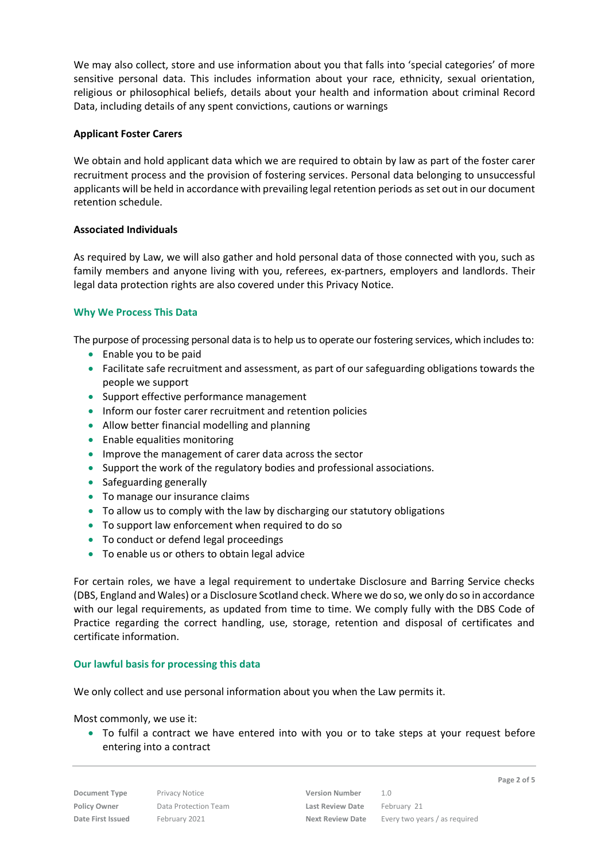We may also collect, store and use information about you that falls into 'special categories' of more sensitive personal data. This includes information about your race, ethnicity, sexual orientation, religious or philosophical beliefs, details about your health and information about criminal Record Data, including details of any spent convictions, cautions or warnings

## **Applicant Foster Carers**

We obtain and hold applicant data which we are required to obtain by law as part of the foster carer recruitment process and the provision of fostering services. Personal data belonging to unsuccessful applicants will be held in accordance with prevailing legal retention periods as set out in our document retention schedule.

## **Associated Individuals**

As required by Law, we will also gather and hold personal data of those connected with you, such as family members and anyone living with you, referees, ex-partners, employers and landlords. Their legal data protection rights are also covered under this Privacy Notice.

# **Why We Process This Data**

The purpose of processing personal data is to help us to operate our fostering services, which includes to:

- $\bullet$  Enable you to be paid
- Facilitate safe recruitment and assessment, as part of our safeguarding obligations towards the people we support
- Support effective performance management
- Inform our foster carer recruitment and retention policies
- Allow better financial modelling and planning
- Enable equalities monitoring
- **IMPROVE the management of carer data across the sector**
- Support the work of the regulatory bodies and professional associations.
- Safeguarding generally
- To manage our insurance claims
- To allow us to comply with the law by discharging our statutory obligations
- To support law enforcement when required to do so
- To conduct or defend legal proceedings
- To enable us or others to obtain legal advice

For certain roles, we have a legal requirement to undertake Disclosure and Barring Service checks (DBS, England and Wales) or a Disclosure Scotland check. Where we do so, we only do so in accordance with our legal requirements, as updated from time to time. We comply fully with the DBS Code of Practice regarding the correct handling, use, storage, retention and disposal of certificates and certificate information.

#### **Our lawful basis for processing this data**

We only collect and use personal information about you when the Law permits it.

#### Most commonly, we use it:

 To fulfil a contract we have entered into with you or to take steps at your request before entering into a contract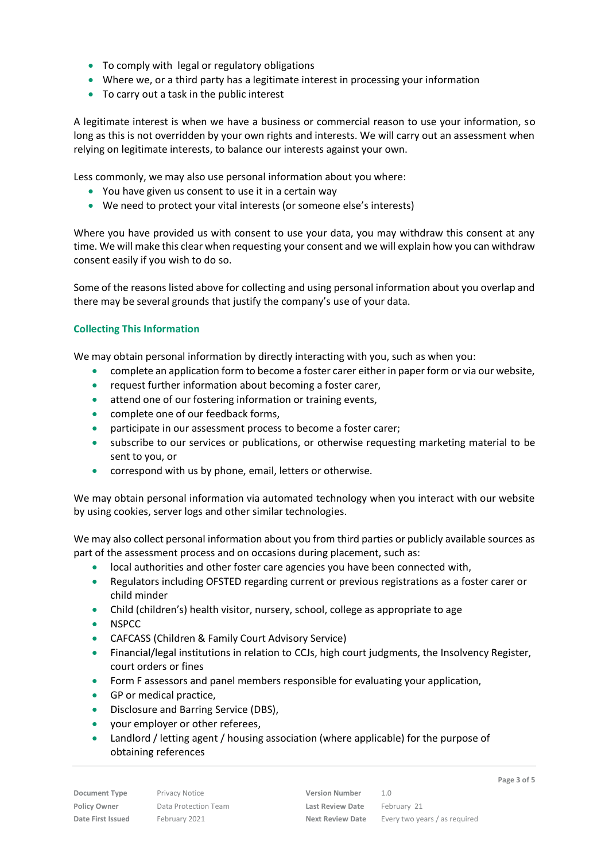- To comply with legal or regulatory obligations
- Where we, or a third party has a legitimate interest in processing your information
- To carry out a task in the public interest

A legitimate interest is when we have a business or commercial reason to use your information, so long as this is not overridden by your own rights and interests. We will carry out an assessment when relying on legitimate interests, to balance our interests against your own.

Less commonly, we may also use personal information about you where:

- You have given us consent to use it in a certain way
- We need to protect your vital interests (or someone else's interests)

Where you have provided us with consent to use your data, you may withdraw this consent at any time. We will make this clear when requesting your consent and we will explain how you can withdraw consent easily if you wish to do so.

Some of the reasons listed above for collecting and using personal information about you overlap and there may be several grounds that justify the company's use of your data.

# **Collecting This Information**

We may obtain personal information by directly interacting with you, such as when you:

- complete an application form to become a foster carer either in paper form or via our website,
- request further information about becoming a foster carer,
- attend one of our fostering information or training events,
- complete one of our feedback forms,
- **•** participate in our assessment process to become a foster carer;
- subscribe to our services or publications, or otherwise requesting marketing material to be sent to you, or
- correspond with us by phone, email, letters or otherwise.

We may obtain personal information via automated technology when you interact with our website by using cookies, server logs and other similar technologies.

We may also collect personal information about you from third parties or publicly available sources as part of the assessment process and on occasions during placement, such as:

- local authorities and other foster care agencies you have been connected with,
- Regulators including OFSTED regarding current or previous registrations as a foster carer or child minder
- Child (children's) health visitor, nursery, school, college as appropriate to age
- NSPCC
- CAFCASS (Children & Family Court Advisory Service)
- Financial/legal institutions in relation to CCJs, high court judgments, the Insolvency Register, court orders or fines
- **•** Form F assessors and panel members responsible for evaluating your application,
- GP or medical practice,
- Disclosure and Barring Service (DBS),
- your employer or other referees,
- Landlord / letting agent / housing association (where applicable) for the purpose of obtaining references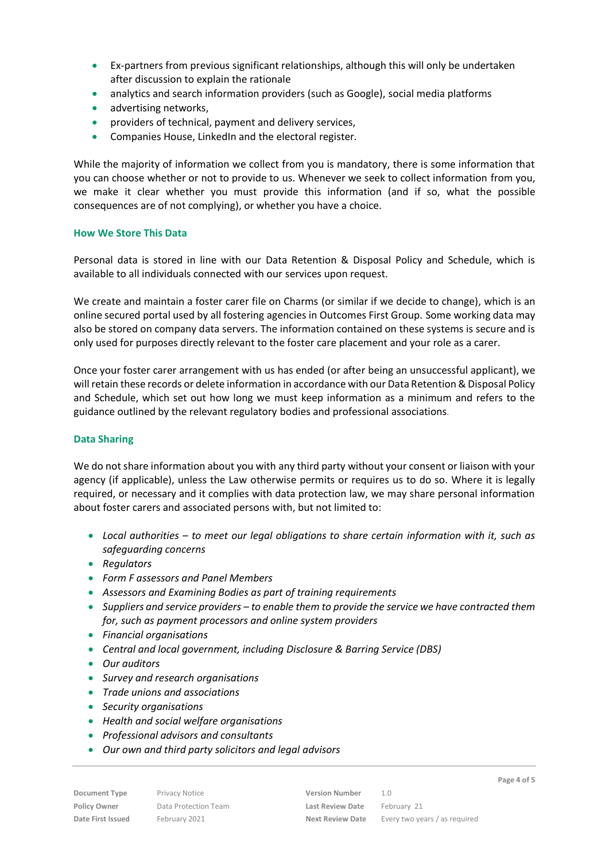- Ex-partners from previous significant relationships, although this will only be undertaken after discussion to explain the rationale
- analytics and search information providers (such as Google), social media platforms
- advertising networks,
- providers of technical, payment and delivery services,
- Companies House, LinkedIn and the electoral register.

While the majority of information we collect from you is mandatory, there is some information that you can choose whether or not to provide to us. Whenever we seek to collect information from you, we make it clear whether you must provide this information (and if so, what the possible consequences are of not complying), or whether you have a choice.

## **How We Store This Data**

Personal data is stored in line with our Data Retention & Disposal Policy and Schedule, which is available to all individuals connected with our services upon request.

We create and maintain a foster carer file on Charms (or similar if we decide to change), which is an online secured portal used by all fostering agencies in Outcomes First Group. Some working data may also be stored on company data servers. The information contained on these systems is secure and is only used for purposes directly relevant to the foster care placement and your role as a carer.

Once your foster carer arrangement with us has ended (or after being an unsuccessful applicant), we will retain these records or delete information in accordance with our Data Retention & Disposal Policy and Schedule, which set out how long we must keep information as a minimum and refers to the guidance outlined by the relevant regulatory bodies and professional associations*.*

# **Data Sharing**

We do not share information about you with any third party without your consent or liaison with your agency (if applicable), unless the Law otherwise permits or requires us to do so. Where it is legally required, or necessary and it complies with data protection law, we may share personal information about foster carers and associated persons with, but not limited to:

- *Local authorities – to meet our legal obligations to share certain information with it, such as safeguarding concerns*
- **•** Regulators
- *Form F assessors and Panel Members*
- *Assessors and Examining Bodies as part of training requirements*
- *Suppliers and service providers – to enable them to provide the service we have contracted them for, such as payment processors and online system providers*
- *Financial organisations*
- *Central and local government, including Disclosure & Barring Service (DBS)*
- *Our auditors*
- *Survey and research organisations*
- *Trade unions and associations*
- *Security organisations*
- *Health and social welfare organisations*
- *Professional advisors and consultants*
- *Our own and third party solicitors and legal advisors*

**Document Type** Privacy Notice **Version Number** 1.0 **Policy Owner** Data Protection Team **Last Review Date** February 21

**Date First Issued** February 2021 **Next Review Date** Every two years / as required

**Page 4 of 5**